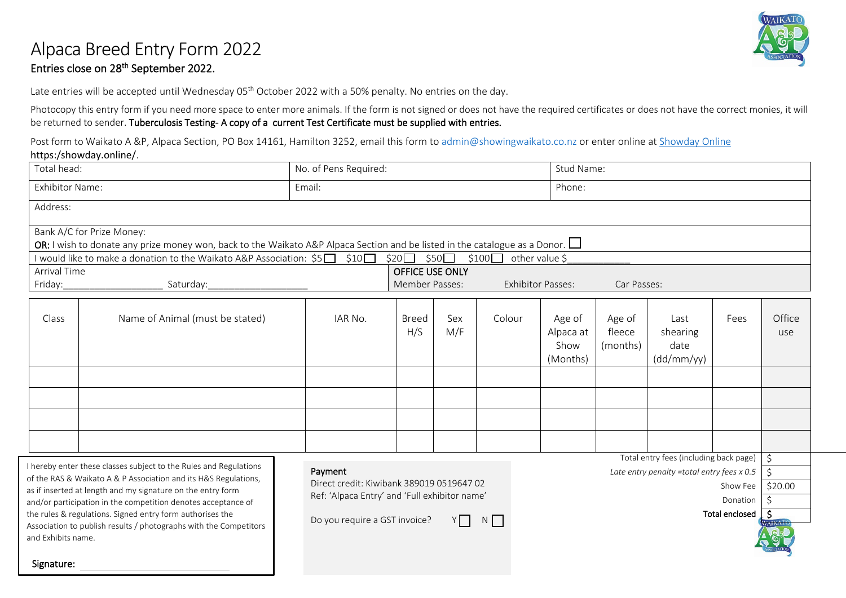## Alpaca Breed Entry Form 2022

#### Entries close on 28th September 2022.

Late entries will be accepted until Wednesday 05<sup>th</sup> October 2022 with a 50% penalty. No entries on the day.

Photocopy this entry form if you need more space to enter more animals. If the form is not signed or does not have the required certificates or does not have the correct monies, it will be returned to sender. Tuberculosis Testing- A copy of a current Test Certificate must be supplied with entries.

Post form to Waikato A &P, Alpaca Section, PO Box 14161, Hamilton 3252, email this form to [admin@showingwaikato.co.nz](mailto:admin@showingwaikato.co.nz) or enter online at [Showday Online](https://showday.online/showday/show/240f39f0-ad87-4c7e-8c4f-22daa1ffe28f) https:/showday.online/.

| Total head:                                                                                                                                                                                                                                                                                                                                             |                                                                   | No. of Pens Required:                                                                                                                                                                               |                                                                                     |            |        | Stud Name:                              |                              |                                             |                                                   |               |  |
|---------------------------------------------------------------------------------------------------------------------------------------------------------------------------------------------------------------------------------------------------------------------------------------------------------------------------------------------------------|-------------------------------------------------------------------|-----------------------------------------------------------------------------------------------------------------------------------------------------------------------------------------------------|-------------------------------------------------------------------------------------|------------|--------|-----------------------------------------|------------------------------|---------------------------------------------|---------------------------------------------------|---------------|--|
| <b>Exhibitor Name:</b>                                                                                                                                                                                                                                                                                                                                  |                                                                   |                                                                                                                                                                                                     |                                                                                     |            | Phone: |                                         |                              |                                             |                                                   |               |  |
| Address:                                                                                                                                                                                                                                                                                                                                                |                                                                   |                                                                                                                                                                                                     |                                                                                     |            |        |                                         |                              |                                             |                                                   |               |  |
| Bank A/C for Prize Money:<br>OR: I wish to donate any prize money won, back to the Waikato A&P Alpaca Section and be listed in the catalogue as a Donor. $\Box$<br>I would like to make a donation to the Waikato A&P Association: \$5□ \$10□<br>$$100\Box$<br>other value \$<br>$$20\Box$ \$50                                                         |                                                                   |                                                                                                                                                                                                     |                                                                                     |            |        |                                         |                              |                                             |                                                   |               |  |
| <b>Arrival Time</b><br>Friday:                                                                                                                                                                                                                                                                                                                          | Saturday:                                                         |                                                                                                                                                                                                     | <b>OFFICE USE ONLY</b><br>Member Passes:<br><b>Exhibitor Passes:</b><br>Car Passes: |            |        |                                         |                              |                                             |                                                   |               |  |
| Name of Animal (must be stated)<br>Class                                                                                                                                                                                                                                                                                                                |                                                                   | IAR No.                                                                                                                                                                                             | <b>Breed</b><br>H/S                                                                 | Sex<br>M/F | Colour | Age of<br>Alpaca at<br>Show<br>(Months) | Age of<br>fleece<br>(months) | Last<br>shearing<br>date<br>(dd/mm/yy)      | Fees                                              | Office<br>use |  |
|                                                                                                                                                                                                                                                                                                                                                         |                                                                   |                                                                                                                                                                                                     |                                                                                     |            |        |                                         |                              |                                             |                                                   |               |  |
|                                                                                                                                                                                                                                                                                                                                                         |                                                                   |                                                                                                                                                                                                     |                                                                                     |            |        |                                         |                              |                                             |                                                   |               |  |
|                                                                                                                                                                                                                                                                                                                                                         |                                                                   |                                                                                                                                                                                                     |                                                                                     |            |        |                                         |                              |                                             |                                                   |               |  |
|                                                                                                                                                                                                                                                                                                                                                         |                                                                   |                                                                                                                                                                                                     |                                                                                     |            |        |                                         |                              |                                             |                                                   |               |  |
|                                                                                                                                                                                                                                                                                                                                                         | I hereby enter these classes subject to the Rules and Regulations |                                                                                                                                                                                                     |                                                                                     |            |        |                                         |                              | Total entry fees (including back page)   \$ |                                                   |               |  |
| of the RAS & Waikato A & P Association and its H&S Regulations,<br>as if inserted at length and my signature on the entry form<br>and/or participation in the competition denotes acceptance of<br>the rules & regulations. Signed entry form authorises the<br>Association to publish results / photographs with the Competitors<br>and Exhibits name. |                                                                   | Payment<br>Late entry penalty = total entry fees $x 0.5$<br>Direct credit: Kiwibank 389019 0519647 02<br>Ref: 'Alpaca Entry' and 'Full exhibitor name'<br>Do you require a GST invoice?<br>N<br>Y I |                                                                                     |            |        |                                         |                              | Show Fee<br>Donation<br>Total enclosed      | $\zeta$<br>\$20.00<br>Ŝ.<br>$\mathsf{S}$<br>AIKAI |               |  |
| Signature:                                                                                                                                                                                                                                                                                                                                              |                                                                   |                                                                                                                                                                                                     |                                                                                     |            |        |                                         |                              |                                             |                                                   |               |  |

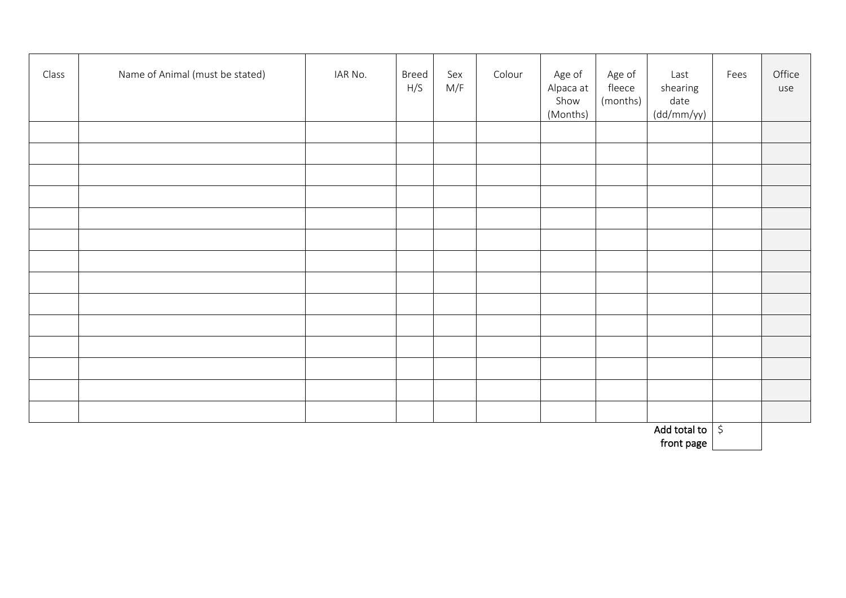| Class | Name of Animal (must be stated) | IAR No. | Breed<br>H/S | Sex<br>M/F | Colour | Age of<br>Alpaca at<br>Show<br>(Months) | Age of<br>fleece<br>(months) | Last<br>shearing<br>date<br>(dd/mm/yy) | Fees | Office<br>use |
|-------|---------------------------------|---------|--------------|------------|--------|-----------------------------------------|------------------------------|----------------------------------------|------|---------------|
|       |                                 |         |              |            |        |                                         |                              |                                        |      |               |
|       |                                 |         |              |            |        |                                         |                              |                                        |      |               |
|       |                                 |         |              |            |        |                                         |                              |                                        |      |               |
|       |                                 |         |              |            |        |                                         |                              |                                        |      |               |
|       |                                 |         |              |            |        |                                         |                              |                                        |      |               |
|       |                                 |         |              |            |        |                                         |                              |                                        |      |               |
|       |                                 |         |              |            |        |                                         |                              |                                        |      |               |
|       |                                 |         |              |            |        |                                         |                              |                                        |      |               |
|       |                                 |         |              |            |        |                                         |                              |                                        |      |               |
|       |                                 |         |              |            |        |                                         |                              |                                        |      |               |
|       |                                 |         |              |            |        |                                         |                              |                                        |      |               |
|       |                                 |         |              |            |        |                                         |                              |                                        |      |               |
|       |                                 |         |              |            |        |                                         |                              |                                        |      |               |
|       |                                 |         |              |            |        |                                         |                              |                                        |      |               |
|       |                                 |         |              |            |        |                                         |                              | Add total to $\vert \sin$              |      |               |

front page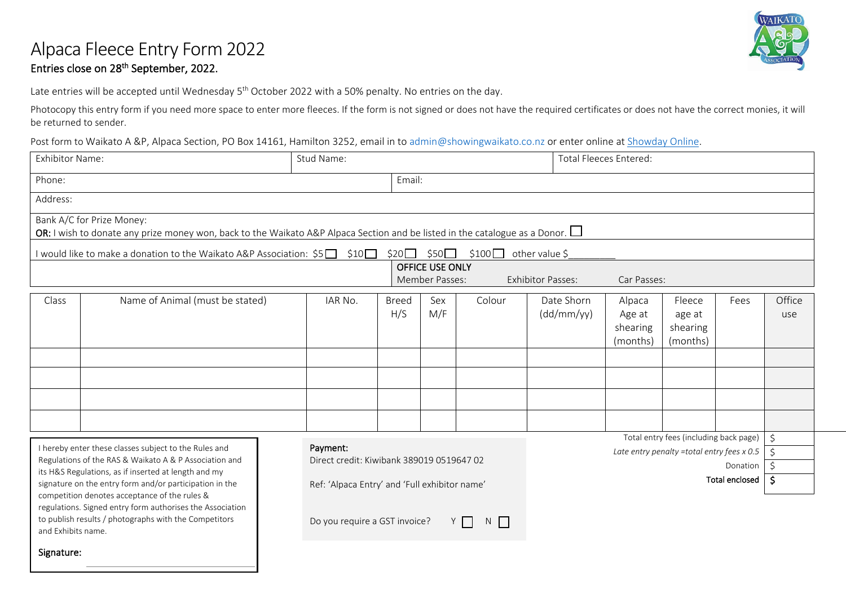#### Alpaca Fleece Entry Form 2022 Entries close on 28th September, 2022.



Late entries will be accepted until Wednesday 5<sup>th</sup> October 2022 with a 50% penalty. No entries on the day.

Photocopy this entry form if you need more space to enter more fleeces. If the form is not signed or does not have the required certificates or does not have the correct monies, it will be returned to sender.

Post form to Waikato A &P, Alpaca Section, PO Box 14161, Hamilton 3252, email in to [admin@showingwaikato.co.nz](mailto:admin@showingwaikato.co.nz) or enter online at [Showday Online.](https://showday.online/showday/show/240f39f0-ad87-4c7e-8c4f-22daa1ffe28f)

| <b>Exhibitor Name:</b>                                                                                                                                                                                                                                                                                                                           |                                                                                                                                                                 | Stud Name: |                                                                                            |                                   |            | <b>Total Fleeces Entered:</b> |                                          |                                                                                      |                            |                     |
|--------------------------------------------------------------------------------------------------------------------------------------------------------------------------------------------------------------------------------------------------------------------------------------------------------------------------------------------------|-----------------------------------------------------------------------------------------------------------------------------------------------------------------|------------|--------------------------------------------------------------------------------------------|-----------------------------------|------------|-------------------------------|------------------------------------------|--------------------------------------------------------------------------------------|----------------------------|---------------------|
| Phone:                                                                                                                                                                                                                                                                                                                                           | Email:                                                                                                                                                          |            |                                                                                            |                                   |            |                               |                                          |                                                                                      |                            |                     |
| Address:                                                                                                                                                                                                                                                                                                                                         |                                                                                                                                                                 |            |                                                                                            |                                   |            |                               |                                          |                                                                                      |                            |                     |
|                                                                                                                                                                                                                                                                                                                                                  | Bank A/C for Prize Money:<br>OR: I wish to donate any prize money won, back to the Waikato A&P Alpaca Section and be listed in the catalogue as a Donor. $\Box$ |            |                                                                                            |                                   |            |                               |                                          |                                                                                      |                            |                     |
|                                                                                                                                                                                                                                                                                                                                                  | I would like to make a donation to the Waikato A&P Association: \$5□ \$10□                                                                                      |            |                                                                                            | $$20$ $$50$                       | $$100\Box$ | other value \$                |                                          |                                                                                      |                            |                     |
|                                                                                                                                                                                                                                                                                                                                                  |                                                                                                                                                                 |            |                                                                                            | OFFICE USE ONLY<br>Member Passes: |            | <b>Exhibitor Passes:</b>      | Car Passes:                              |                                                                                      |                            |                     |
| Class                                                                                                                                                                                                                                                                                                                                            | Name of Animal (must be stated)                                                                                                                                 | IAR No.    | Breed<br>H/S                                                                               | Sex<br>M/F                        | Colour     | Date Shorn<br>(dd/mm/yy)      | Alpaca<br>Age at<br>shearing<br>(months) | Fleece<br>age at<br>shearing<br>(months)                                             | Fees                       | Office<br>use       |
| I hereby enter these classes subject to the Rules and<br>Regulations of the RAS & Waikato A & P Association and<br>its H&S Regulations, as if inserted at length and my<br>signature on the entry form and/or participation in the<br>competition denotes acceptance of the rules &<br>regulations. Signed entry form authorises the Association |                                                                                                                                                                 | Payment:   | Direct credit: Kiwibank 389019 0519647 02<br>Ref: 'Alpaca Entry' and 'Full exhibitor name' |                                   |            |                               |                                          | Total entry fees (including back page)<br>Late entry penalty =total entry fees x 0.5 | Donation<br>Total enclosed | $\zeta$<br>\$<br>-Ś |

Do you require a GST invoice?  $Y \cap N$ 

Signature:

and Exhibits name.

to publish results / photographs with the Competitors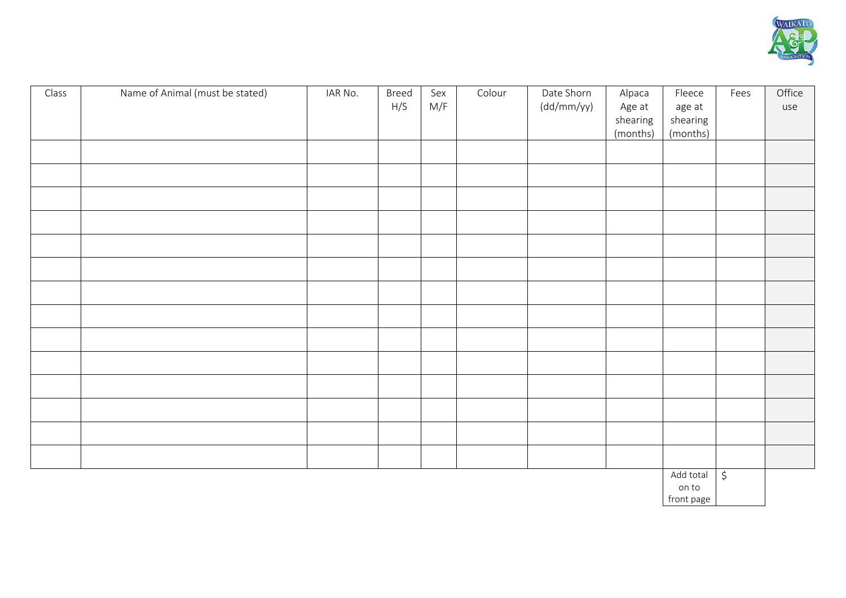

| Class | Name of Animal (must be stated) | IAR No. | Breed<br>H/S | Sex<br>M/F | Colour | Date Shorn<br>(dd/mm/yy) | Alpaca             | Fleece             | Fees | Office |
|-------|---------------------------------|---------|--------------|------------|--------|--------------------------|--------------------|--------------------|------|--------|
|       |                                 |         |              |            |        |                          | Age at<br>shearing | age at<br>shearing |      | use    |
|       |                                 |         |              |            |        |                          | (months)           | (months)           |      |        |
|       |                                 |         |              |            |        |                          |                    |                    |      |        |
|       |                                 |         |              |            |        |                          |                    |                    |      |        |
|       |                                 |         |              |            |        |                          |                    |                    |      |        |
|       |                                 |         |              |            |        |                          |                    |                    |      |        |
|       |                                 |         |              |            |        |                          |                    |                    |      |        |
|       |                                 |         |              |            |        |                          |                    |                    |      |        |
|       |                                 |         |              |            |        |                          |                    |                    |      |        |
|       |                                 |         |              |            |        |                          |                    |                    |      |        |
|       |                                 |         |              |            |        |                          |                    |                    |      |        |
|       |                                 |         |              |            |        |                          |                    |                    |      |        |
|       |                                 |         |              |            |        |                          |                    |                    |      |        |
|       |                                 |         |              |            |        |                          |                    |                    |      |        |
|       |                                 |         |              |            |        |                          |                    |                    |      |        |
|       |                                 |         |              |            |        |                          |                    |                    |      |        |
|       |                                 |         |              |            |        |                          |                    |                    |      |        |
|       |                                 |         |              |            |        |                          |                    |                    |      |        |

Add total on to  $\rightarrow$ 

front page